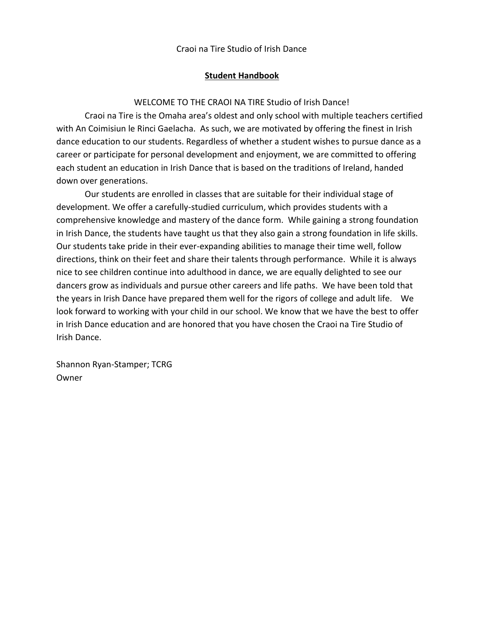### **Student Handbook**

### WELCOME TO THE CRAOI NA TIRE Studio of Irish Dance!

Craoi na Tire is the Omaha area's oldest and only school with multiple teachers certified with An Coimisiun le Rinci Gaelacha. As such, we are motivated by offering the finest in Irish dance education to our students. Regardless of whether a student wishes to pursue dance as a career or participate for personal development and enjoyment, we are committed to offering each student an education in Irish Dance that is based on the traditions of Ireland, handed down over generations.

Our students are enrolled in classes that are suitable for their individual stage of development. We offer a carefully-studied curriculum, which provides students with a comprehensive knowledge and mastery of the dance form. While gaining a strong foundation in Irish Dance, the students have taught us that they also gain a strong foundation in life skills. Our students take pride in their ever-expanding abilities to manage their time well, follow directions, think on their feet and share their talents through performance. While it is always nice to see children continue into adulthood in dance, we are equally delighted to see our dancers grow as individuals and pursue other careers and life paths. We have been told that the years in Irish Dance have prepared them well for the rigors of college and adult life. We look forward to working with your child in our school. We know that we have the best to offer in Irish Dance education and are honored that you have chosen the Craoi na Tire Studio of Irish Dance.

Shannon Ryan-Stamper; TCRG Owner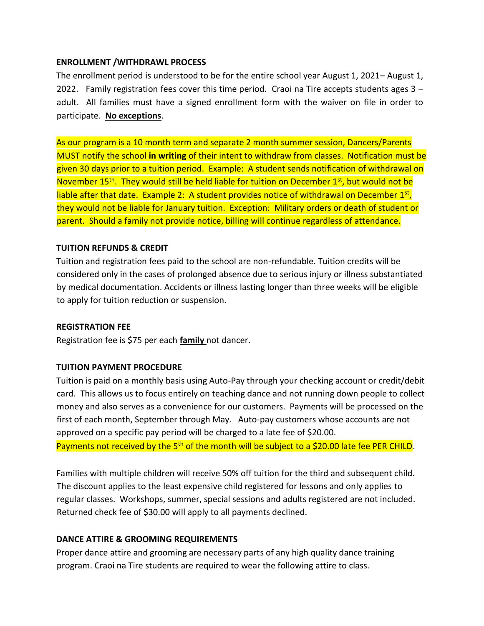#### **ENROLLMENT /WITHDRAWL PROCESS**

The enrollment period is understood to be for the entire school year August 1, 2021– August 1, 2022. Family registration fees cover this time period. Craoi na Tire accepts students ages  $3$ adult. All families must have a signed enrollment form with the waiver on file in order to participate. **No exceptions**.

As our program is a 10 month term and separate 2 month summer session, Dancers/Parents MUST notify the school **in writing** of their intent to withdraw from classes. Notification must be given 30 days prior to a tuition period. Example: A student sends notification of withdrawal on November 15<sup>th</sup>. They would still be held liable for tuition on December 1<sup>st</sup>, but would not be liable after that date. Example 2: A student provides notice of withdrawal on December 1st, they would not be liable for January tuition. Exception: Military orders or death of student or parent. Should a family not provide notice, billing will continue regardless of attendance.

### **TUITION REFUNDS & CREDIT**

Tuition and registration fees paid to the school are non-refundable. Tuition credits will be considered only in the cases of prolonged absence due to serious injury or illness substantiated by medical documentation. Accidents or illness lasting longer than three weeks will be eligible to apply for tuition reduction or suspension.

#### **REGISTRATION FEE**

Registration fee is \$75 per each **family** not dancer.

#### **TUITION PAYMENT PROCEDURE**

Tuition is paid on a monthly basis using Auto-Pay through your checking account or credit/debit card. This allows us to focus entirely on teaching dance and not running down people to collect money and also serves as a convenience for our customers. Payments will be processed on the first of each month, September through May. Auto-pay customers whose accounts are not approved on a specific pay period will be charged to a late fee of \$20.00. Payments not received by the 5<sup>th</sup> of the month will be subject to a \$20.00 late fee PER CHILD.

Families with multiple children will receive 50% off tuition for the third and subsequent child. The discount applies to the least expensive child registered for lessons and only applies to regular classes. Workshops, summer, special sessions and adults registered are not included. Returned check fee of \$30.00 will apply to all payments declined.

### **DANCE ATTIRE & GROOMING REQUIREMENTS**

Proper dance attire and grooming are necessary parts of any high quality dance training program. Craoi na Tire students are required to wear the following attire to class.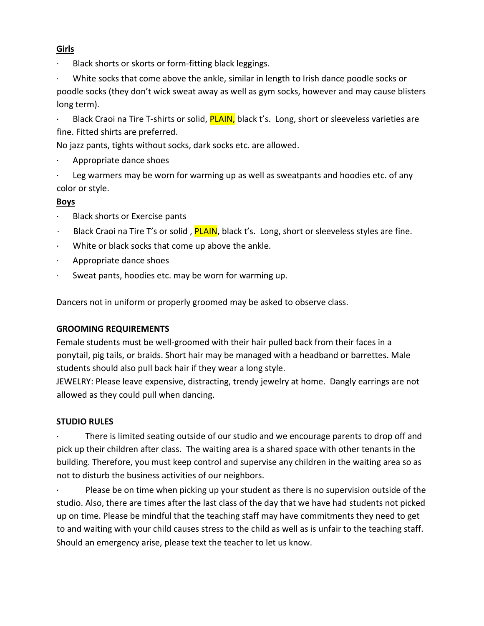# **Girls**

Black shorts or skorts or form-fitting black leggings.

White socks that come above the ankle, similar in length to Irish dance poodle socks or poodle socks (they don't wick sweat away as well as gym socks, however and may cause blisters long term).

Black Craoi na Tire T-shirts or solid, **PLAIN**, black t's. Long, short or sleeveless varieties are fine. Fitted shirts are preferred.

No jazz pants, tights without socks, dark socks etc. are allowed.

- · Appropriate dance shoes
- Leg warmers may be worn for warming up as well as sweatpants and hoodies etc. of any color or style.

# **Boys**

- Black shorts or Exercise pants
- Black Craoi na Tire T's or solid, **PLAIN**, black t's. Long, short or sleeveless styles are fine.
- White or black socks that come up above the ankle.
- · Appropriate dance shoes
- Sweat pants, hoodies etc. may be worn for warming up.

Dancers not in uniform or properly groomed may be asked to observe class.

# **GROOMING REQUIREMENTS**

Female students must be well-groomed with their hair pulled back from their faces in a ponytail, pig tails, or braids. Short hair may be managed with a headband or barrettes. Male students should also pull back hair if they wear a long style.

JEWELRY: Please leave expensive, distracting, trendy jewelry at home. Dangly earrings are not allowed as they could pull when dancing.

# **STUDIO RULES**

There is limited seating outside of our studio and we encourage parents to drop off and pick up their children after class. The waiting area is a shared space with other tenants in the building. Therefore, you must keep control and supervise any children in the waiting area so as not to disturb the business activities of our neighbors.

Please be on time when picking up your student as there is no supervision outside of the studio. Also, there are times after the last class of the day that we have had students not picked up on time. Please be mindful that the teaching staff may have commitments they need to get to and waiting with your child causes stress to the child as well as is unfair to the teaching staff. Should an emergency arise, please text the teacher to let us know.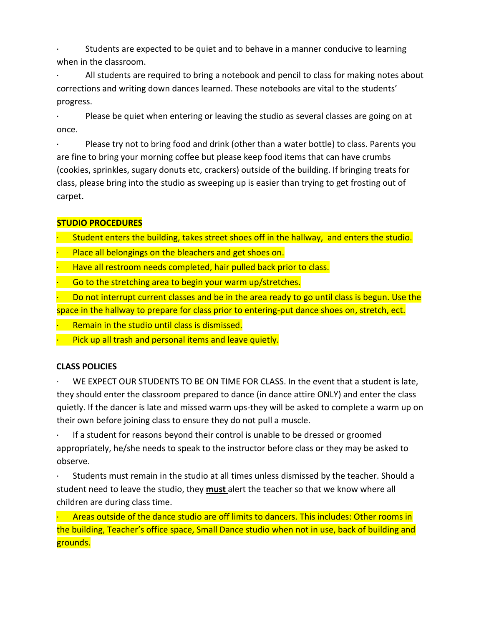· Students are expected to be quiet and to behave in a manner conducive to learning when in the classroom.

· All students are required to bring a notebook and pencil to class for making notes about corrections and writing down dances learned. These notebooks are vital to the students' progress.

· Please be quiet when entering or leaving the studio as several classes are going on at once.

Please try not to bring food and drink (other than a water bottle) to class. Parents you are fine to bring your morning coffee but please keep food items that can have crumbs (cookies, sprinkles, sugary donuts etc, crackers) outside of the building. If bringing treats for class, please bring into the studio as sweeping up is easier than trying to get frosting out of carpet.

# **STUDIO PROCEDURES**

Student enters the building, takes street shoes off in the hallway, and enters the studio.

- Place all belongings on the bleachers and get shoes on.
- Have all restroom needs completed, hair pulled back prior to class.

Go to the stretching area to begin your warm up/stretches.

· Do not interrupt current classes and be in the area ready to go until class is begun. Use the space in the hallway to prepare for class prior to entering-put dance shoes on, stretch, ect.

- Remain in the studio until class is dismissed.
- Pick up all trash and personal items and leave quietly.

# **CLASS POLICIES**

WE EXPECT OUR STUDENTS TO BE ON TIME FOR CLASS. In the event that a student is late, they should enter the classroom prepared to dance (in dance attire ONLY) and enter the class quietly. If the dancer is late and missed warm ups-they will be asked to complete a warm up on their own before joining class to ensure they do not pull a muscle.

· If a student for reasons beyond their control is unable to be dressed or groomed appropriately, he/she needs to speak to the instructor before class or they may be asked to observe.

· Students must remain in the studio at all times unless dismissed by the teacher. Should a student need to leave the studio, they **must** alert the teacher so that we know where all children are during class time.

Areas outside of the dance studio are off limits to dancers. This includes: Other rooms in the building, Teacher's office space, Small Dance studio when not in use, back of building and grounds.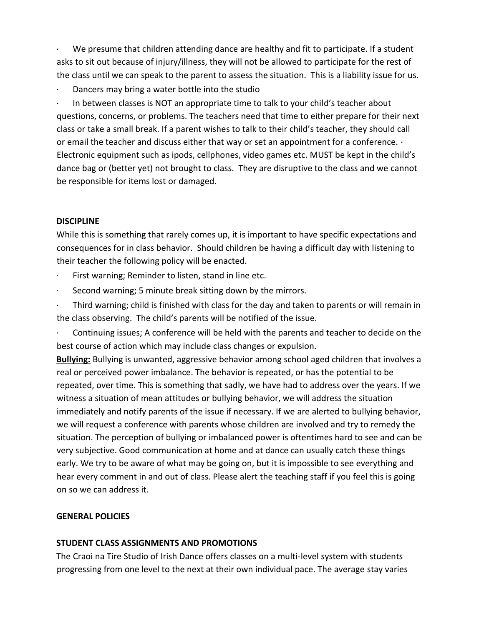We presume that children attending dance are healthy and fit to participate. If a student asks to sit out because of injury/illness, they will not be allowed to participate for the rest of the class until we can speak to the parent to assess the situation. This is a liability issue for us.

Dancers may bring a water bottle into the studio

In between classes is NOT an appropriate time to talk to your child's teacher about questions, concerns, or problems. The teachers need that time to either prepare for their next class or take a small break. If a parent wishes to talk to their child's teacher, they should call or email the teacher and discuss either that way or set an appointment for a conference. · Electronic equipment such as ipods, cellphones, video games etc. MUST be kept in the child's dance bag or (better yet) not brought to class. They are disruptive to the class and we cannot be responsible for items lost or damaged.

### **DISCIPLINE**

While this is something that rarely comes up, it is important to have specific expectations and consequences for in class behavior. Should children be having a difficult day with listening to their teacher the following policy will be enacted.

- First warning; Reminder to listen, stand in line etc.
- Second warning; 5 minute break sitting down by the mirrors.

· Third warning; child is finished with class for the day and taken to parents or will remain in the class observing. The child's parents will be notified of the issue.

Continuing issues; A conference will be held with the parents and teacher to decide on the best course of action which may include class changes or expulsion.

**Bullying:** Bullying is unwanted, aggressive behavior among school aged children that involves a real or perceived power imbalance. The behavior is repeated, or has the potential to be repeated, over time. This is something that sadly, we have had to address over the years. If we witness a situation of mean attitudes or bullying behavior, we will address the situation immediately and notify parents of the issue if necessary. If we are alerted to bullying behavior, we will request a conference with parents whose children are involved and try to remedy the situation. The perception of bullying or imbalanced power is oftentimes hard to see and can be very subjective. Good communication at home and at dance can usually catch these things early. We try to be aware of what may be going on, but it is impossible to see everything and hear every comment in and out of class. Please alert the teaching staff if you feel this is going on so we can address it.

# **GENERAL POLICIES**

### **STUDENT CLASS ASSIGNMENTS AND PROMOTIONS**

The Craoi na Tire Studio of Irish Dance offers classes on a multi-level system with students progressing from one level to the next at their own individual pace. The average stay varies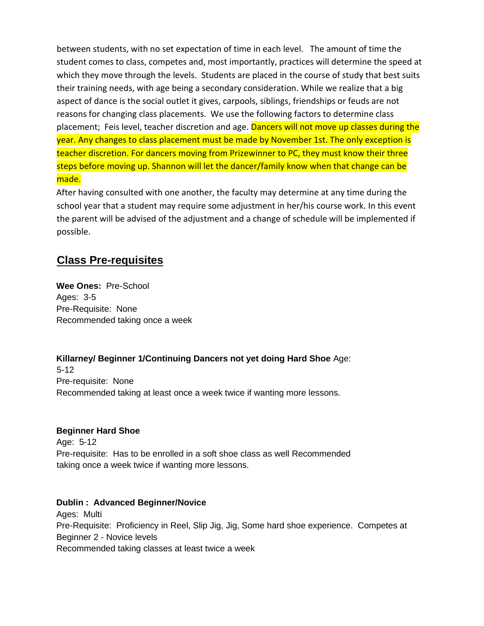between students, with no set expectation of time in each level. The amount of time the student comes to class, competes and, most importantly, practices will determine the speed at which they move through the levels. Students are placed in the course of study that best suits their training needs, with age being a secondary consideration. While we realize that a big aspect of dance is the social outlet it gives, carpools, siblings, friendships or feuds are not reasons for changing class placements. We use the following factors to determine class placement; Feis level, teacher discretion and age. Dancers will not move up classes during the year. Any changes to class placement must be made by November 1st. The only exception is teacher discretion. For dancers moving from Prizewinner to PC, they must know their three steps before moving up. Shannon will let the dancer/family know when that change can be made.

After having consulted with one another, the faculty may determine at any time during the school year that a student may require some adjustment in her/his course work. In this event the parent will be advised of the adjustment and a change of schedule will be implemented if possible.

# **Class Pre-requisites**

**Wee Ones:** Pre-School Ages: 3-5 Pre-Requisite: None Recommended taking once a week

**Killarney/ Beginner 1/Continuing Dancers not yet doing Hard Shoe** Age: 5-12 Pre-requisite: None Recommended taking at least once a week twice if wanting more lessons.

### **Beginner Hard Shoe**

Age: 5-12 Pre-requisite: Has to be enrolled in a soft shoe class as well Recommended taking once a week twice if wanting more lessons.

# **Dublin : Advanced Beginner/Novice**

Ages: Multi Pre-Requisite: Proficiency in Reel, Slip Jig, Jig, Some hard shoe experience. Competes at Beginner 2 - Novice levels Recommended taking classes at least twice a week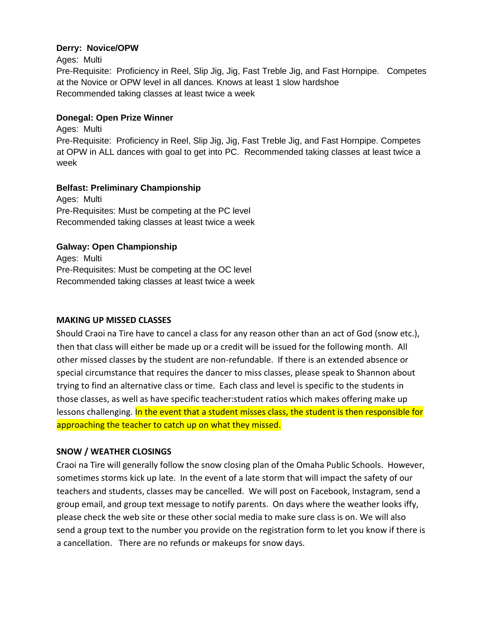### **Derry: Novice/OPW**

Ages: Multi Pre-Requisite: Proficiency in Reel, Slip Jig, Jig, Fast Treble Jig, and Fast Hornpipe. Competes at the Novice or OPW level in all dances. Knows at least 1 slow hardshoe Recommended taking classes at least twice a week

### **Donegal: Open Prize Winner**

Ages: Multi Pre-Requisite: Proficiency in Reel, Slip Jig, Jig, Fast Treble Jig, and Fast Hornpipe. Competes at OPW in ALL dances with goal to get into PC. Recommended taking classes at least twice a week

### **Belfast: Preliminary Championship**

Ages: Multi Pre-Requisites: Must be competing at the PC level Recommended taking classes at least twice a week

# **Galway: Open Championship**

Ages: Multi Pre-Requisites: Must be competing at the OC level Recommended taking classes at least twice a week

### **MAKING UP MISSED CLASSES**

Should Craoi na Tire have to cancel a class for any reason other than an act of God (snow etc.), then that class will either be made up or a credit will be issued for the following month. All other missed classes by the student are non-refundable. If there is an extended absence or special circumstance that requires the dancer to miss classes, please speak to Shannon about trying to find an alternative class or time. Each class and level is specific to the students in those classes, as well as have specific teacher:student ratios which makes offering make up lessons challenging. In the event that a student misses class, the student is then responsible for approaching the teacher to catch up on what they missed.

### **SNOW / WEATHER CLOSINGS**

Craoi na Tire will generally follow the snow closing plan of the Omaha Public Schools. However, sometimes storms kick up late. In the event of a late storm that will impact the safety of our teachers and students, classes may be cancelled. We will post on Facebook, Instagram, send a group email, and group text message to notify parents. On days where the weather looks iffy, please check the web site or these other social media to make sure class is on. We will also send a group text to the number you provide on the registration form to let you know if there is a cancellation. There are no refunds or makeups for snow days.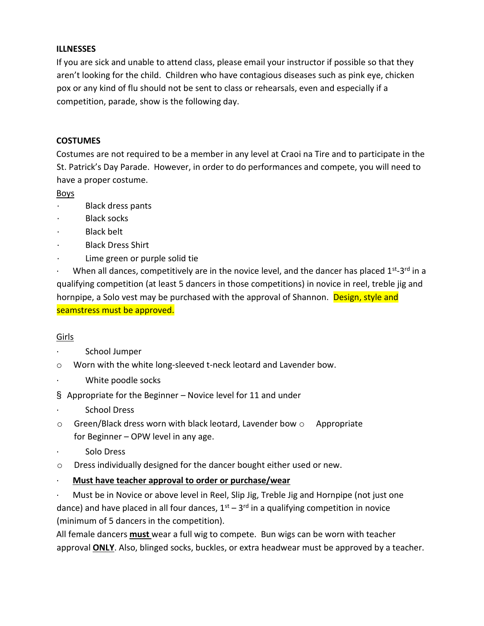### **ILLNESSES**

If you are sick and unable to attend class, please email your instructor if possible so that they aren't looking for the child. Children who have contagious diseases such as pink eye, chicken pox or any kind of flu should not be sent to class or rehearsals, even and especially if a competition, parade, show is the following day.

### **COSTUMES**

Costumes are not required to be a member in any level at Craoi na Tire and to participate in the St. Patrick's Day Parade. However, in order to do performances and compete, you will need to have a proper costume.

Boys

- · Black dress pants
- · Black socks
- **Black belt**
- **Black Dress Shirt**
- Lime green or purple solid tie

When all dances, competitively are in the novice level, and the dancer has placed  $1^{st}$ -3<sup>rd</sup> in a qualifying competition (at least 5 dancers in those competitions) in novice in reel, treble jig and hornpipe, a Solo vest may be purchased with the approval of Shannon. Design, style and seamstress must be approved.

# Girls

- School Jumper
- o Worn with the white long-sleeved t-neck leotard and Lavender bow.
- White poodle socks
- § Appropriate for the Beginner Novice level for 11 and under
- School Dress
- $\circ$  Green/Black dress worn with black leotard, Lavender bow  $\circ$  Appropriate for Beginner – OPW level in any age.
- Solo Dress
- o Dress individually designed for the dancer bought either used or new.
- · **Must have teacher approval to order or purchase/wear**

· Must be in Novice or above level in Reel, Slip Jig, Treble Jig and Hornpipe (not just one dance) and have placed in all four dances,  $1<sup>st</sup> - 3<sup>rd</sup>$  in a qualifying competition in novice (minimum of 5 dancers in the competition).

All female dancers **must** wear a full wig to compete. Bun wigs can be worn with teacher approval **ONLY**. Also, blinged socks, buckles, or extra headwear must be approved by a teacher.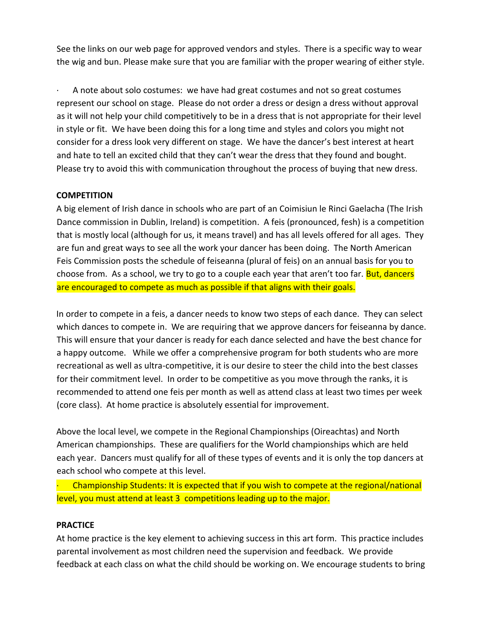See the links on our web page for approved vendors and styles. There is a specific way to wear the wig and bun. Please make sure that you are familiar with the proper wearing of either style.

· A note about solo costumes: we have had great costumes and not so great costumes represent our school on stage. Please do not order a dress or design a dress without approval as it will not help your child competitively to be in a dress that is not appropriate for their level in style or fit. We have been doing this for a long time and styles and colors you might not consider for a dress look very different on stage. We have the dancer's best interest at heart and hate to tell an excited child that they can't wear the dress that they found and bought. Please try to avoid this with communication throughout the process of buying that new dress.

### **COMPETITION**

A big element of Irish dance in schools who are part of an Coimisiun le Rinci Gaelacha (The Irish Dance commission in Dublin, Ireland) is competition. A feis (pronounced, fesh) is a competition that is mostly local (although for us, it means travel) and has all levels offered for all ages. They are fun and great ways to see all the work your dancer has been doing. The North American Feis Commission posts the schedule of feiseanna (plural of feis) on an annual basis for you to choose from. As a school, we try to go to a couple each year that aren't too far. But, dancers are encouraged to compete as much as possible if that aligns with their goals.

In order to compete in a feis, a dancer needs to know two steps of each dance. They can select which dances to compete in. We are requiring that we approve dancers for feiseanna by dance. This will ensure that your dancer is ready for each dance selected and have the best chance for a happy outcome. While we offer a comprehensive program for both students who are more recreational as well as ultra-competitive, it is our desire to steer the child into the best classes for their commitment level. In order to be competitive as you move through the ranks, it is recommended to attend one feis per month as well as attend class at least two times per week (core class). At home practice is absolutely essential for improvement.

Above the local level, we compete in the Regional Championships (Oireachtas) and North American championships. These are qualifiers for the World championships which are held each year. Dancers must qualify for all of these types of events and it is only the top dancers at each school who compete at this level.

· Championship Students: It is expected that if you wish to compete at the regional/national level, you must attend at least 3 competitions leading up to the major.

### **PRACTICE**

At home practice is the key element to achieving success in this art form. This practice includes parental involvement as most children need the supervision and feedback. We provide feedback at each class on what the child should be working on. We encourage students to bring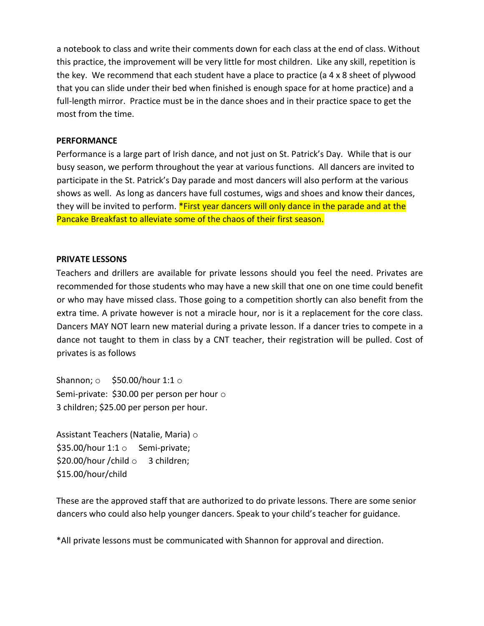a notebook to class and write their comments down for each class at the end of class. Without this practice, the improvement will be very little for most children. Like any skill, repetition is the key. We recommend that each student have a place to practice (a 4 x 8 sheet of plywood that you can slide under their bed when finished is enough space for at home practice) and a full-length mirror. Practice must be in the dance shoes and in their practice space to get the most from the time.

#### **PERFORMANCE**

Performance is a large part of Irish dance, and not just on St. Patrick's Day. While that is our busy season, we perform throughout the year at various functions. All dancers are invited to participate in the St. Patrick's Day parade and most dancers will also perform at the various shows as well. As long as dancers have full costumes, wigs and shoes and know their dances, they will be invited to perform. **\*First year dancers will only dance in the parade and at the** Pancake Breakfast to alleviate some of the chaos of their first season.

#### **PRIVATE LESSONS**

Teachers and drillers are available for private lessons should you feel the need. Privates are recommended for those students who may have a new skill that one on one time could benefit or who may have missed class. Those going to a competition shortly can also benefit from the extra time. A private however is not a miracle hour, nor is it a replacement for the core class. Dancers MAY NOT learn new material during a private lesson. If a dancer tries to compete in a dance not taught to them in class by a CNT teacher, their registration will be pulled. Cost of privates is as follows

Shannon;  $\circ$  \$50.00/hour 1:1  $\circ$ Semi-private: \$30.00 per person per hour  $\circ$ 3 children; \$25.00 per person per hour.

Assistant Teachers (Natalie, Maria) o \$35.00/hour  $1:1 \circ$  Semi-private; \$20.00/hour /child o 3 children; \$15.00/hour/child

These are the approved staff that are authorized to do private lessons. There are some senior dancers who could also help younger dancers. Speak to your child's teacher for guidance.

\*All private lessons must be communicated with Shannon for approval and direction.